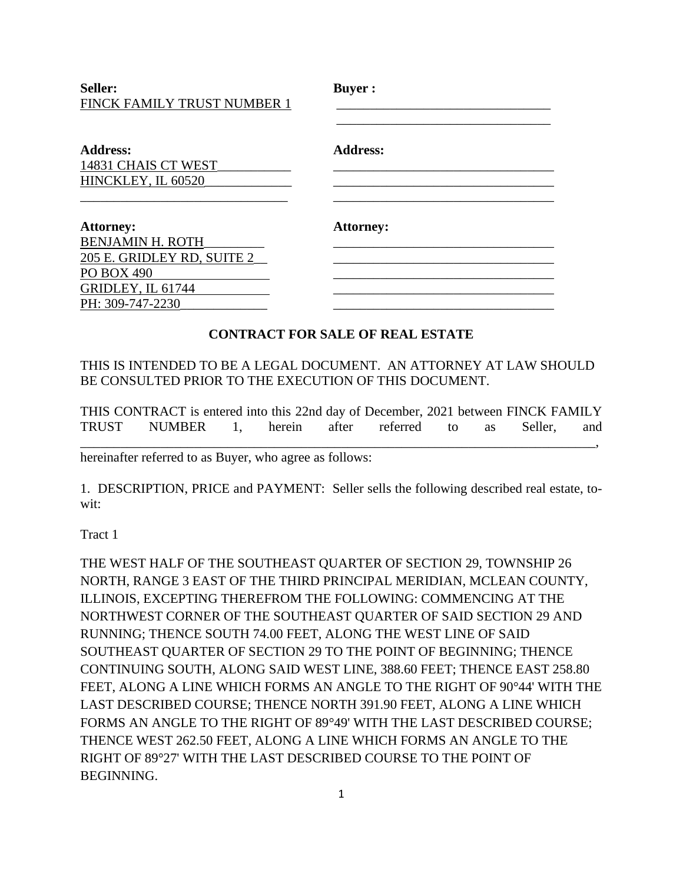Seller: **Buyer :** FINCK FAMILY TRUST NUMBER 1

| <b>Address:</b>            | Address:         |
|----------------------------|------------------|
| 14831 CHAIS CT WEST        |                  |
| HINCKLEY, IL 60520         |                  |
|                            |                  |
| <b>Attorney:</b>           | <b>Attorney:</b> |
| <b>BENJAMIN H. ROTH</b>    |                  |
| 205 E. GRIDLEY RD, SUITE 2 |                  |
| <b>PO BOX 490</b>          |                  |
| GRIDLEY, IL 61744          |                  |
| PH: 309-747-2230           |                  |

#### **CONTRACT FOR SALE OF REAL ESTATE**

### THIS IS INTENDED TO BE A LEGAL DOCUMENT. AN ATTORNEY AT LAW SHOULD BE CONSULTED PRIOR TO THE EXECUTION OF THIS DOCUMENT.

THIS CONTRACT is entered into this 22nd day of December, 2021 between FINCK FAMILY TRUST NUMBER 1, herein after referred to as Seller, and

\_\_\_\_\_\_\_\_\_\_\_\_\_\_\_\_\_\_\_\_\_\_\_\_\_\_\_\_\_\_\_\_\_\_\_\_\_\_\_\_\_\_\_\_\_\_\_\_\_\_\_\_\_\_\_\_\_\_\_\_\_\_\_\_\_\_\_\_\_\_\_\_\_\_\_\_\_,

hereinafter referred to as Buyer, who agree as follows:

1. DESCRIPTION, PRICE and PAYMENT: Seller sells the following described real estate, towit:

Tract 1

THE WEST HALF OF THE SOUTHEAST QUARTER OF SECTION 29, TOWNSHIP 26 NORTH, RANGE 3 EAST OF THE THIRD PRINCIPAL MERIDIAN, MCLEAN COUNTY, ILLINOIS, EXCEPTING THEREFROM THE FOLLOWING: COMMENCING AT THE NORTHWEST CORNER OF THE SOUTHEAST QUARTER OF SAID SECTION 29 AND RUNNING; THENCE SOUTH 74.00 FEET, ALONG THE WEST LINE OF SAID SOUTHEAST QUARTER OF SECTION 29 TO THE POINT OF BEGINNING; THENCE CONTINUING SOUTH, ALONG SAID WEST LINE, 388.60 FEET; THENCE EAST 258.80 FEET, ALONG A LINE WHICH FORMS AN ANGLE TO THE RIGHT OF 90°44' WITH THE LAST DESCRIBED COURSE; THENCE NORTH 391.90 FEET, ALONG A LINE WHICH FORMS AN ANGLE TO THE RIGHT OF 89°49' WITH THE LAST DESCRIBED COURSE; THENCE WEST 262.50 FEET, ALONG A LINE WHICH FORMS AN ANGLE TO THE RIGHT OF 89°27' WITH THE LAST DESCRIBED COURSE TO THE POINT OF BEGINNING.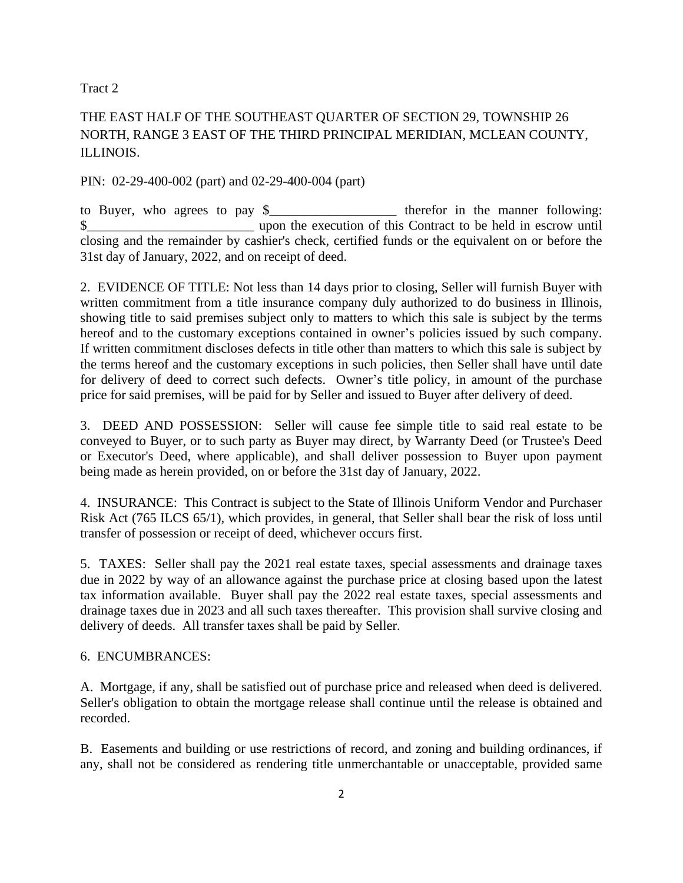Tract 2

# THE EAST HALF OF THE SOUTHEAST QUARTER OF SECTION 29, TOWNSHIP 26 NORTH, RANGE 3 EAST OF THE THIRD PRINCIPAL MERIDIAN, MCLEAN COUNTY, ILLINOIS.

#### PIN: 02-29-400-002 (part) and 02-29-400-004 (part)

to Buyer, who agrees to pay \$ \$ closing and the remainder by cashier's check, certified funds or the equivalent on or before the 31st day of January, 2022, and on receipt of deed.

2. EVIDENCE OF TITLE: Not less than 14 days prior to closing, Seller will furnish Buyer with written commitment from a title insurance company duly authorized to do business in Illinois, showing title to said premises subject only to matters to which this sale is subject by the terms hereof and to the customary exceptions contained in owner's policies issued by such company. If written commitment discloses defects in title other than matters to which this sale is subject by the terms hereof and the customary exceptions in such policies, then Seller shall have until date for delivery of deed to correct such defects. Owner's title policy, in amount of the purchase price for said premises, will be paid for by Seller and issued to Buyer after delivery of deed.

3. DEED AND POSSESSION: Seller will cause fee simple title to said real estate to be conveyed to Buyer, or to such party as Buyer may direct, by Warranty Deed (or Trustee's Deed or Executor's Deed, where applicable), and shall deliver possession to Buyer upon payment being made as herein provided, on or before the 31st day of January, 2022.

4. INSURANCE: This Contract is subject to the State of Illinois Uniform Vendor and Purchaser Risk Act (765 ILCS 65/1), which provides, in general, that Seller shall bear the risk of loss until transfer of possession or receipt of deed, whichever occurs first.

5. TAXES: Seller shall pay the 2021 real estate taxes, special assessments and drainage taxes due in 2022 by way of an allowance against the purchase price at closing based upon the latest tax information available. Buyer shall pay the 2022 real estate taxes, special assessments and drainage taxes due in 2023 and all such taxes thereafter. This provision shall survive closing and delivery of deeds. All transfer taxes shall be paid by Seller.

#### 6. ENCUMBRANCES:

A. Mortgage, if any, shall be satisfied out of purchase price and released when deed is delivered. Seller's obligation to obtain the mortgage release shall continue until the release is obtained and recorded.

B. Easements and building or use restrictions of record, and zoning and building ordinances, if any, shall not be considered as rendering title unmerchantable or unacceptable, provided same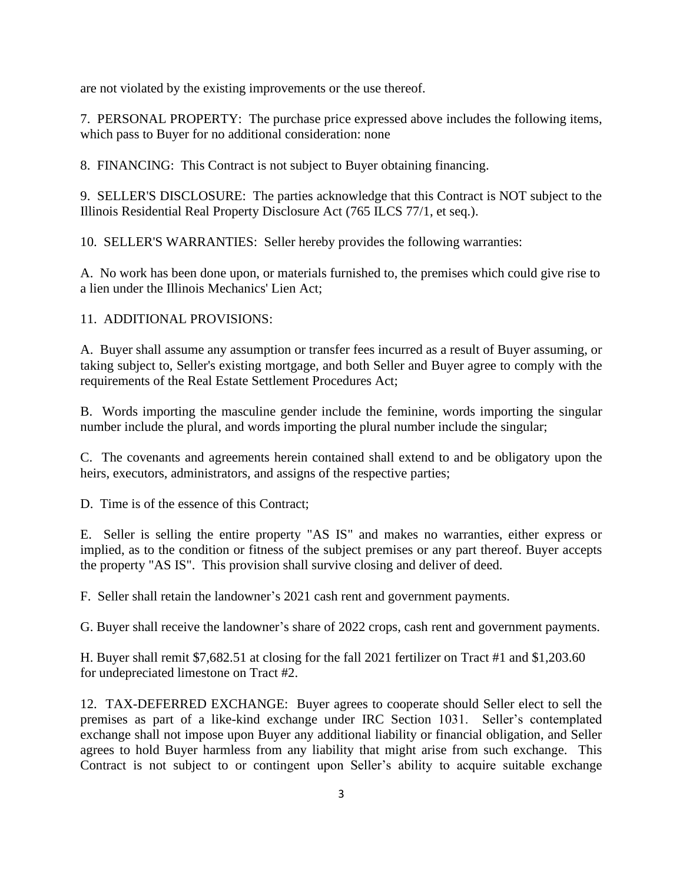are not violated by the existing improvements or the use thereof.

7. PERSONAL PROPERTY: The purchase price expressed above includes the following items, which pass to Buyer for no additional consideration: none

8. FINANCING: This Contract is not subject to Buyer obtaining financing.

9. SELLER'S DISCLOSURE: The parties acknowledge that this Contract is NOT subject to the Illinois Residential Real Property Disclosure Act (765 ILCS 77/1, et seq.).

10. SELLER'S WARRANTIES: Seller hereby provides the following warranties:

A. No work has been done upon, or materials furnished to, the premises which could give rise to a lien under the Illinois Mechanics' Lien Act;

#### 11. ADDITIONAL PROVISIONS:

A. Buyer shall assume any assumption or transfer fees incurred as a result of Buyer assuming, or taking subject to, Seller's existing mortgage, and both Seller and Buyer agree to comply with the requirements of the Real Estate Settlement Procedures Act;

B. Words importing the masculine gender include the feminine, words importing the singular number include the plural, and words importing the plural number include the singular;

C. The covenants and agreements herein contained shall extend to and be obligatory upon the heirs, executors, administrators, and assigns of the respective parties;

D. Time is of the essence of this Contract;

E. Seller is selling the entire property "AS IS" and makes no warranties, either express or implied, as to the condition or fitness of the subject premises or any part thereof. Buyer accepts the property "AS IS". This provision shall survive closing and deliver of deed.

F. Seller shall retain the landowner's 2021 cash rent and government payments.

G. Buyer shall receive the landowner's share of 2022 crops, cash rent and government payments.

H. Buyer shall remit \$7,682.51 at closing for the fall 2021 fertilizer on Tract #1 and \$1,203.60 for undepreciated limestone on Tract #2.

12. TAX-DEFERRED EXCHANGE: Buyer agrees to cooperate should Seller elect to sell the premises as part of a like-kind exchange under IRC Section 1031. Seller's contemplated exchange shall not impose upon Buyer any additional liability or financial obligation, and Seller agrees to hold Buyer harmless from any liability that might arise from such exchange. This Contract is not subject to or contingent upon Seller's ability to acquire suitable exchange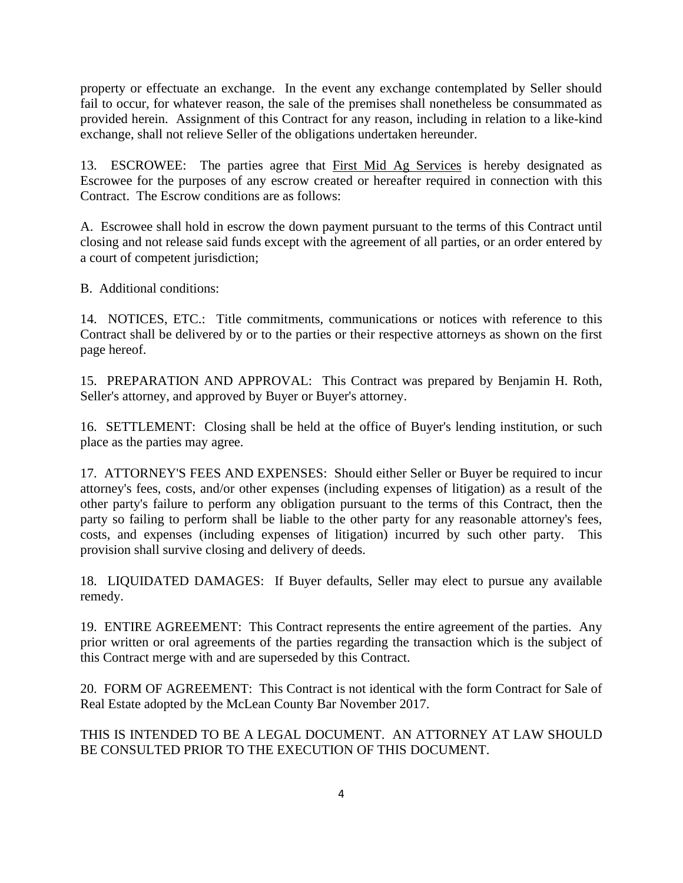property or effectuate an exchange. In the event any exchange contemplated by Seller should fail to occur, for whatever reason, the sale of the premises shall nonetheless be consummated as provided herein. Assignment of this Contract for any reason, including in relation to a like-kind exchange, shall not relieve Seller of the obligations undertaken hereunder.

13. ESCROWEE: The parties agree that First Mid Ag Services is hereby designated as Escrowee for the purposes of any escrow created or hereafter required in connection with this Contract. The Escrow conditions are as follows:

A. Escrowee shall hold in escrow the down payment pursuant to the terms of this Contract until closing and not release said funds except with the agreement of all parties, or an order entered by a court of competent jurisdiction;

B. Additional conditions:

14. NOTICES, ETC.: Title commitments, communications or notices with reference to this Contract shall be delivered by or to the parties or their respective attorneys as shown on the first page hereof.

15. PREPARATION AND APPROVAL: This Contract was prepared by Benjamin H. Roth, Seller's attorney, and approved by Buyer or Buyer's attorney.

16. SETTLEMENT: Closing shall be held at the office of Buyer's lending institution, or such place as the parties may agree.

17. ATTORNEY'S FEES AND EXPENSES: Should either Seller or Buyer be required to incur attorney's fees, costs, and/or other expenses (including expenses of litigation) as a result of the other party's failure to perform any obligation pursuant to the terms of this Contract, then the party so failing to perform shall be liable to the other party for any reasonable attorney's fees, costs, and expenses (including expenses of litigation) incurred by such other party. This provision shall survive closing and delivery of deeds.

18. LIQUIDATED DAMAGES: If Buyer defaults, Seller may elect to pursue any available remedy.

19. ENTIRE AGREEMENT: This Contract represents the entire agreement of the parties. Any prior written or oral agreements of the parties regarding the transaction which is the subject of this Contract merge with and are superseded by this Contract.

20. FORM OF AGREEMENT: This Contract is not identical with the form Contract for Sale of Real Estate adopted by the McLean County Bar November 2017.

THIS IS INTENDED TO BE A LEGAL DOCUMENT. AN ATTORNEY AT LAW SHOULD BE CONSULTED PRIOR TO THE EXECUTION OF THIS DOCUMENT.